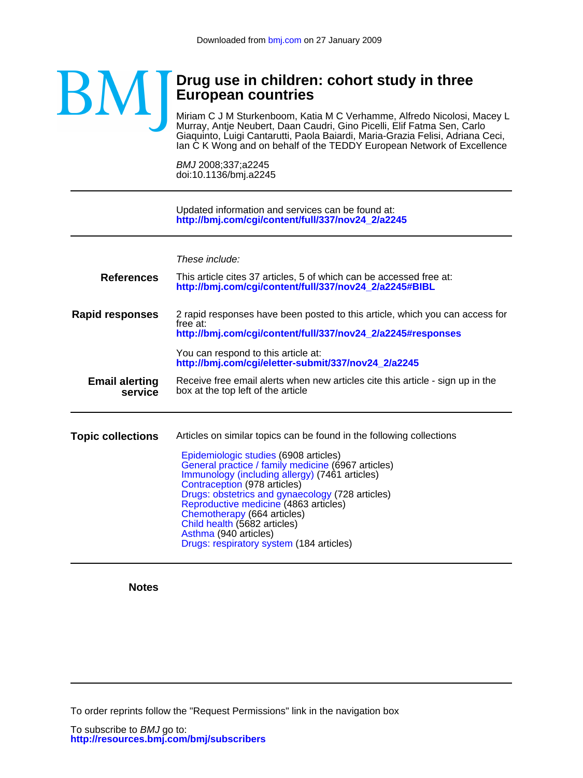

# **European countries Drug use in children: cohort study in three**

Ian C K Wong and on behalf of the TEDDY European Network of Excellence Giaquinto, Luigi Cantarutti, Paola Baiardi, Maria-Grazia Felisi, Adriana Ceci, Murray, Antje Neubert, Daan Caudri, Gino Picelli, Elif Fatma Sen, Carlo Miriam C J M Sturkenboom, Katia M C Verhamme, Alfredo Nicolosi, Macey L

doi:10.1136/bmj.a2245 BMJ 2008;337;a2245

**[http://bmj.com/cgi/content/full/337/nov24\\_2/a2245](http://bmj.com/cgi/content/full/337/nov24_2/a2245)** Updated information and services can be found at:

| <b>References</b>                | These include:<br>This article cites 37 articles, 5 of which can be accessed free at:<br>http://bmj.com/cgi/content/full/337/nov24_2/a2245#BIBL                                                                                                                                                                                                                                                                                                                                        |
|----------------------------------|----------------------------------------------------------------------------------------------------------------------------------------------------------------------------------------------------------------------------------------------------------------------------------------------------------------------------------------------------------------------------------------------------------------------------------------------------------------------------------------|
| <b>Rapid responses</b>           | 2 rapid responses have been posted to this article, which you can access for<br>free at:<br>http://bmj.com/cgi/content/full/337/nov24_2/a2245#responses<br>You can respond to this article at:                                                                                                                                                                                                                                                                                         |
|                                  | http://bmj.com/cgi/eletter-submit/337/nov24_2/a2245                                                                                                                                                                                                                                                                                                                                                                                                                                    |
| <b>Email alerting</b><br>service | Receive free email alerts when new articles cite this article - sign up in the<br>box at the top left of the article                                                                                                                                                                                                                                                                                                                                                                   |
| <b>Topic collections</b>         | Articles on similar topics can be found in the following collections<br>Epidemiologic studies (6908 articles)<br>General practice / family medicine (6967 articles)<br>Immunology (including allergy) (7461 articles)<br>Contraception (978 articles)<br>Drugs: obstetrics and gynaecology (728 articles)<br>Reproductive medicine (4863 articles)<br>Chemotherapy (664 articles)<br>Child health (5682 articles)<br>Asthma (940 articles)<br>Drugs: respiratory system (184 articles) |

**Notes**

To order reprints follow the "Request Permissions" link in the navigation box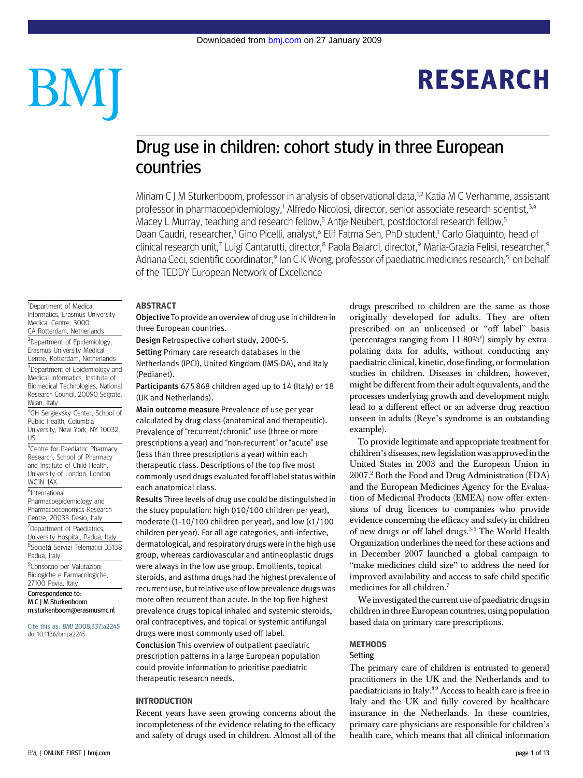# BM

# **RESEARCH** RESEARCH

# Drug use in children: cohort study in three European countries

Miriam C J M Sturkenboom, professor in analysis of observational data,<sup>12</sup> Katia M C Verhamme, assistant professor in pharmacoepidemiology,<sup>1</sup> Alfredo Nicolosi, director, senior associate research scientist,<sup>3,4</sup> Macey L Murray, teaching and research fellow,<sup>5</sup> Antie Neubert, postdoctoral research fellow,<sup>5</sup> Daan Caudri, researcher,<sup>1</sup> Gino Picelli, analyst,<sup>6</sup> Elif Fatma Sen, PhD student,<sup>1</sup> Carlo Giaquinto, head of clinical research unit,<sup>7</sup> Luigi Cantarutti, director,<sup>8</sup> Paola Baiardi, director,<sup>9</sup> Maria-Grazia Felisi, researcher,<sup>9</sup> Adriana Ceci, scientific coordinator,<sup>9</sup> Ian C K Wong, professor of paediatric medicines research,<sup>5</sup> on behalf of the TEDDY European Network of Excellence

#### **ABSTRACT**

Objective To provide an overview of drug use in children in three European countries.

Design Retrospective cohort study, 2000-5.

Setting Primary care research databases in the

Netherlands (IPCI), United Kingdom (IMS-DA), and Italy (Pedianet).

Participants 675 868 children aged up to 14 (Italy) or 18 (UK and Netherlands).

Main outcome measure Prevalence of use per year calculated by drug class (anatomical and therapeutic). Prevalence of "recurrent/chronic" use (three or more prescriptions a year) and "non-recurrent" or "acute" use (less than three prescriptions a year) within each therapeutic class. Descriptions of the top five most commonly used drugs evaluated for off label status within each anatomical class.

Results Three levels of drug use could be distinguished in the study population: high (>10/100 children per year), moderate (1-10/100 children per year), and low (<1/100 children per year). For all age categories, anti-infective, dermatological, and respiratory drugs were in the high use group, whereas cardiovascular and antineoplastic drugs were always in the low use group. Emollients, topical steroids, and asthma drugs had the highest prevalence of recurrent use, but relative use of low prevalence drugs was more often recurrent than acute. In the top five highest prevalence drugs topical inhaled and systemic steroids, oral contraceptives, and topical or systemic antifungal drugs were most commonly used off label.

Conclusion This overview of outpatient paediatric prescription patterns in a large European population could provide information to prioritise paediatric therapeutic research needs.

#### **INTRODUCTION**

**INTRODUCTION**<br>Recent years have seen growing concerns about the incompleteness of the evidence relating to the efficacy and safety of drugs used in children. Almost all of the drugs prescribed to children are the same as those originally developed for adults. They are often prescribed on an unlicensed or "off label" basis (percentages ranging from 11-80%1 ) simply by extrapolating data for adults, without conducting any paediatric clinical, kinetic, dose finding, or formulation studies in children. Diseases in children, however, might be different from their adult equivalents, and the processes underlying growth and development might lead to a different effect or an adverse drug reaction unseen in adults (Reye's syndrome is an outstanding example).

To provide legitimate and appropriate treatment for children's diseases, new legislation was approved inthe United States in 2003 and the European Union in 2007.2 Both the Food and Drug Administration (FDA) and the European Medicines Agency for the Evaluation of Medicinal Products (EMEA) now offer extensions of drug licences to companies who provide evidence concerning the efficacy and safety in children of new drugs or off label drugs.<sup>3-6</sup> The World Health Organization underlines the need for these actions and in December 2007 launched a global campaign to "make medicines child size" to address the need for improved availability and access to safe child specific medicines for all children.7

We investigated the current use of paediatric drugs in children in three European countries, using population based data on primary care prescriptions.

## Setting

The primary care of children is entrusted to general practitioners in the UK and the Netherlands and to paediatricians in Italy.<sup>89</sup> Access to health care is free in Italy and the UK and fully covered by healthcare insurance in the Netherlands. In these countries, primary care physicians are responsible for children's health care, which means that all clinical information

Informatics, Erasmus University Medical Centre, 3000 CA Rotterdam, Netherlands <sup>2</sup>Department of Epidemiology, Erasmus University Medical

<sup>1</sup>Department of Medical

Centre, Rotterdam, Netherlands <sup>3</sup>Department of Epidemiology and Medical Informatics, Institute of

Biomedical Technologies, National Research Council, 20090 Segrate, Milan, Italy

<sup>4</sup>GH Sergievsky Center, School of Public Health, Columbia University, New York, NY 10032, US

<sup>5</sup>Centre for Paediatric Pharmacy Research, School of Pharmacy and Institute of Child Health, University of London, London WC1N 1AX

#### 6 International

Pharmacoepidemiology and Pharmacoeconomics Research Centre, 20033 Desio, Italy <sup>7</sup>Department of Paediatrics, University Hospital, Padua, Italy <sup>8</sup>Società Servizi Telematici 35138 Padua, Italy

<sup>9</sup>Consorzio per Valutazioni Biologiche e Farmacologiche, 27100 Pavia, Italy Correspondence to:

#### M C J M Sturkenboom m.sturkenboom@erasmusmc.nl

Cite this as: BMJ 2008;337:a2245 doi:10.1136/bmj.a2245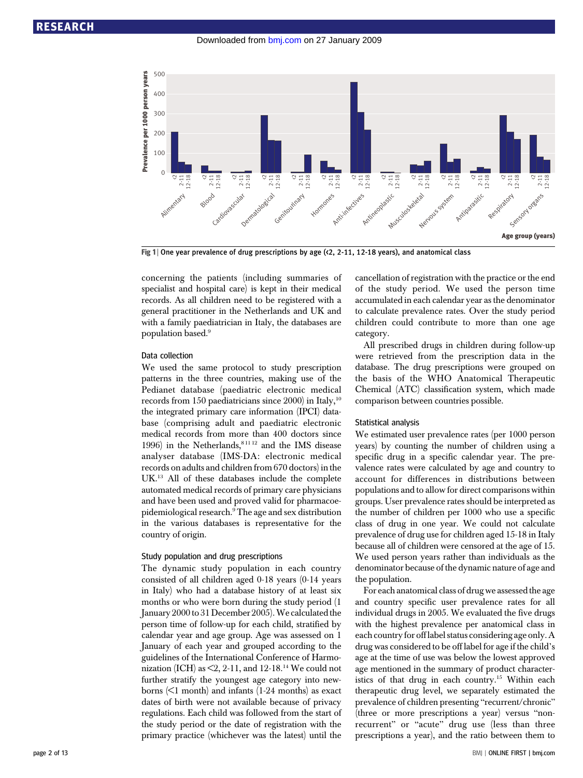

Fig 1 | One year prevalence of drug prescriptions by age (<2, 2-11, 12-18 years), and anatomical class

concerning the patients (including summaries of specialist and hospital care) is kept in their medical records. As all children need to be registered with a general practitioner in the Netherlands and UK and with a family paediatrician in Italy, the databases are population based.9

#### Data collection

We used the same protocol to study prescription patterns in the three countries, making use of the Pedianet database (paediatric electronic medical records from 150 paediatricians since 2000) in Italy,<sup>10</sup> the integrated primary care information (IPCI) database (comprising adult and paediatric electronic medical records from more than 400 doctors since 1996) in the Netherlands, $81112$  and the IMS disease analyser database (IMS-DA: electronic medical records on adults and children from 670 doctors) in the UK.13 All of these databases include the complete automated medical records of primary care physicians and have been used and proved valid for pharmacoepidemiological research.9 The age and sex distribution in the various databases is representative for the country of origin.

#### Study population and drug prescriptions

The dynamic study population in each country consisted of all children aged 0-18 years (0-14 years in Italy) who had a database history of at least six months or who were born during the study period (1 January 2000 to 31 December 2005).We calculated the person time of follow-up for each child, stratified by calendar year and age group. Age was assessed on 1 January of each year and grouped according to the guidelines of the International Conference of Harmonization (ICH) as  $\leq$ 2, 2-11, and 12-18.<sup>14</sup> We could not further stratify the youngest age category into newborns (<1 month) and infants (1-24 months) as exact dates of birth were not available because of privacy regulations. Each child was followed from the start of the study period or the date of registration with the primary practice (whichever was the latest) until the cancellation of registration with the practice or the end of the study period. We used the person time accumulated in each calendar year as the denominator to calculate prevalence rates. Over the study period children could contribute to more than one age category.

All prescribed drugs in children during follow-up were retrieved from the prescription data in the database. The drug prescriptions were grouped on the basis of the WHO Anatomical Therapeutic Chemical (ATC) classification system, which made comparison between countries possible.

#### Statistical analysis

We estimated user prevalence rates (per 1000 person years) by counting the number of children using a specific drug in a specific calendar year. The prevalence rates were calculated by age and country to account for differences in distributions between populations and to allow for direct comparisons within groups. User prevalence rates should be interpreted as the number of children per 1000 who use a specific class of drug in one year. We could not calculate prevalence of drug use for children aged 15-18 in Italy because all of children were censored at the age of 15. We used person years rather than individuals as the denominator because of the dynamic nature of age and the population.

For each anatomical class of drug we assessed the age and country specific user prevalence rates for all individual drugs in 2005. We evaluated the five drugs with the highest prevalence per anatomical class in each country for off label status considering age only. A drug was considered to be off label for age if the child's age at the time of use was below the lowest approved age mentioned in the summary of product characteristics of that drug in each country.<sup>15</sup> Within each therapeutic drug level, we separately estimated the prevalence of children presenting "recurrent/chronic" (three or more prescriptions a year) versus "nonrecurrent" or "acute" drug use (less than three prescriptions a year), and the ratio between them to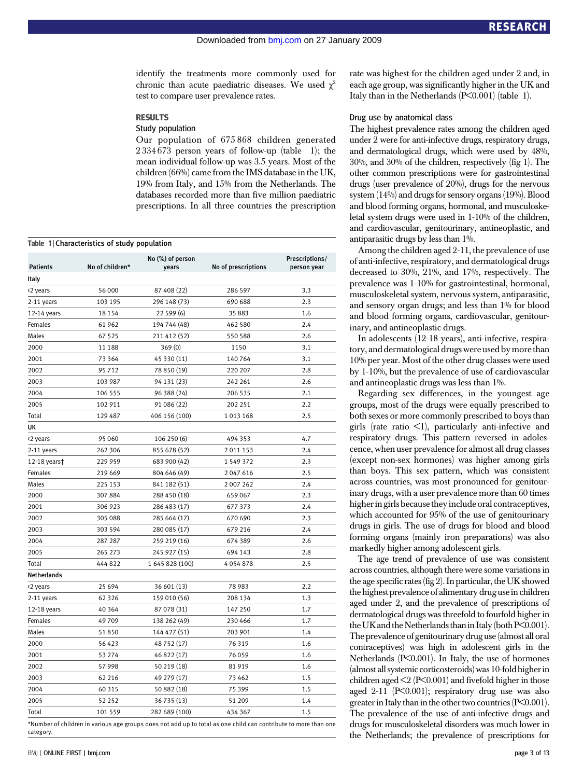identify the treatments more commonly used for chronic than acute paediatric diseases. We used  $\chi^2$ test to compare user prevalence rates.

#### **RESULTS**

## Study population

Our population of 675 868 children generated 2 334 673 person years of follow-up (table 1); the mean individual follow-up was 3.5 years. Most of the children (66%) came from the IMS database in the UK, 19% from Italy, and 15% from the Netherlands. The databases recorded more than five million paediatric prescriptions. In all three countries the prescription

|                    | Table 1   Characteristics of study population |                           |                     |                               |
|--------------------|-----------------------------------------------|---------------------------|---------------------|-------------------------------|
| <b>Patients</b>    | No of children*                               | No (%) of person<br>years | No of prescriptions | Prescriptions/<br>person year |
| Italy              |                                               |                           |                     |                               |
| <2 years           | 56 000                                        | 87 408 (22)               | 286 597             | 3.3                           |
| 2-11 years         | 103 195                                       | 296 148 (73)              | 690 688             | 2.3                           |
| 12-14 years        | 18154                                         | 22 599 (6)                | 35 883              | 1.6                           |
| Females            | 61962                                         | 194 744 (48)              | 462 580             | 2.4                           |
| Males              | 67 525                                        | 211 412 (52)              | 550 588             | 2.6                           |
| 2000               | 11 188                                        | 369(0)                    | 1150                | 3.1                           |
| 2001               | 73 364                                        | 45 330 (11)               | 140 764             | 3.1                           |
| 2002               | 95712                                         | 78 850 (19)               | 220 207             | 2.8                           |
| 2003               | 103 987                                       | 94 131 (23)               | 242 261             | 2.6                           |
| 2004               | 106 555                                       | 96 388 (24)               | 206 535             | 2.1                           |
| 2005               | 102 911                                       | 91 086 (22)               | 202 251             | 2.2                           |
| Total              | 129 487                                       | 406 156 (100)             | 1013168             | 2.5                           |
| UΚ                 |                                               |                           |                     |                               |
| <2 years           | 95 060                                        | 106 250 (6)               | 494 353             | 4.7                           |
| 2-11 years         | 262 306                                       | 855 678 (52)              | 2 011 153           | 2.4                           |
| 12-18 years†       | 229 959                                       | 683 900 (42)              | 1 549 372           | 2.3                           |
| Females            | 219 669                                       | 804 646 (49)              | 2047616             | 2.5                           |
| Males              | 225 153                                       | 841 182 (51)              | 2007262             | 2.4                           |
| 2000               | 307884                                        | 288 450 (18)              | 659 067             | 2.3                           |
| 2001               | 306 923                                       | 286 483 (17)              | 677 373             | 2.4                           |
| 2002               | 305 088                                       | 285 664 (17)              | 670 690             | 2.3                           |
| 2003               | 303 594                                       | 280 085 (17)              | 679 216             | 2.4                           |
| 2004               | 287 287                                       | 259 219 (16)              | 674 389             | 2.6                           |
| 2005               | 265 273                                       | 245 927 (15)              | 694 143             | 2.8                           |
| Total              | 444 822                                       | 1 645 828 (100)           | 4054878             | 2.5                           |
| <b>Netherlands</b> |                                               |                           |                     |                               |
| <2 years           | 25 694                                        | 36 601 (13)               | 78 983              | 2.2                           |
| 2-11 years         | 62 3 2 6                                      | 159 010 (56)              | 208 134             | 1.3                           |
| 12-18 years        | 40 3 6 4                                      | 87 078 (31)               | 147 250             | 1.7                           |
| Females            | 49709                                         | 138 262 (49)              | 230 466             | 1.7                           |
| Males              | 51850                                         | 144 427 (51)              | 203 901             | 1.4                           |
| 2000               | 56423                                         | 48 752 (17)               | 76319               | 1.6                           |
| 2001               | 53 274                                        | 46 822 (17)               | 76059               | 1.6                           |
| 2002               | 57 998                                        | 50 219 (18)               | 81919               | 1.6                           |
| 2003               | 62 216                                        | 49 279 (17)               | 73 462              | 1.5                           |
| 2004               | 60 315                                        | 50 882 (18)               | 75 399              | 1.5                           |
| 2005               | 52 2 52                                       | 36 735 (13)               | 51 209              | 1.4                           |
| Total              | 101 559                                       | 282 689 (100)             | 434 367             | 1.5                           |

\*Number of children in various age groups does not add up to total as one child can contribute to more than one category.

rate was highest for the children aged under 2 and, in each age group, was significantly higher in the UK and Italy than in the Netherlands (P<0.001) (table 1).

#### Drug use by anatomical class

The highest prevalence rates among the children aged under 2 were for anti-infective drugs, respiratory drugs, and dermatological drugs, which were used by 48%, 30%, and 30% of the children, respectively (fig 1). The other common prescriptions were for gastrointestinal drugs (user prevalence of 20%), drugs for the nervous system (14%) and drugs for sensory organs (19%). Blood and blood forming organs, hormonal, and musculoskeletal system drugs were used in 1-10% of the children, and cardiovascular, genitourinary, antineoplastic, and antiparasitic drugs by less than 1%.

Among the children aged 2-11, the prevalence of use of anti-infective, respiratory, and dermatological drugs decreased to 30%, 21%, and 17%, respectively. The prevalence was 1-10% for gastrointestinal, hormonal, musculoskeletal system, nervous system, antiparasitic, and sensory organ drugs; and less than 1% for blood and blood forming organs, cardiovascular, genitourinary, and antineoplastic drugs.

In adolescents (12-18 years), anti-infective, respiratory, and dermatological drugs were used by more than 10% per year. Most of the other drug classes were used by 1-10%, but the prevalence of use of cardiovascular and antineoplastic drugs was less than 1%.

Regarding sex differences, in the youngest age groups, most of the drugs were equally prescribed to both sexes or more commonly prescribed to boys than girls (rate ratio  $\leq$ 1), particularly anti-infective and respiratory drugs. This pattern reversed in adolescence, when user prevalence for almost all drug classes (except non-sex hormones) was higher among girls than boys. This sex pattern, which was consistent across countries, was most pronounced for genitourinary drugs, with a user prevalence more than 60 times higherin girls becausethey include oral contraceptives, which accounted for 95% of the use of genitourinary drugs in girls. The use of drugs for blood and blood forming organs (mainly iron preparations) was also markedly higher among adolescent girls.

The age trend of prevalence of use was consistent across countries, although there were some variations in the age specific rates (fig 2). In particular, the UK showed the highest prevalence of alimentary drug use in children aged under 2, and the prevalence of prescriptions of dermatological drugs was threefold to fourfold higher in the UK and the Netherlands than in Italy (both  $P\leq 0.001$ ). The prevalence of genitourinary drug use (almost all oral contraceptives) was high in adolescent girls in the Netherlands (P<0.001). In Italy, the use of hormones (almost all systemic corticosteroids) was 10-fold higherin children aged  $\leq$  (P $\leq$ 0.001) and fivefold higher in those aged 2-11 ( $P<0.001$ ); respiratory drug use was also greater in Italy than in the other two countries (P<0.001). The prevalence of the use of anti-infective drugs and drugs for musculoskeletal disorders was much lower in the Netherlands; the prevalence of prescriptions for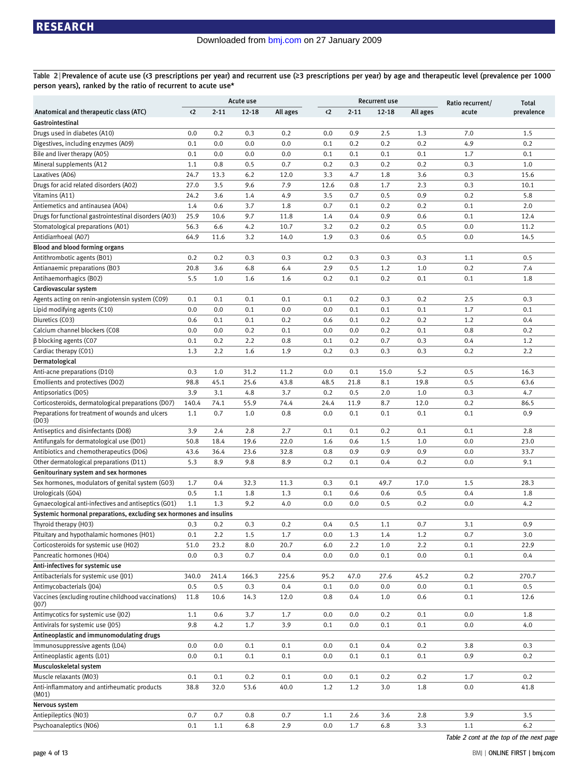Table 2 <sup>|</sup> Prevalence of acute use (<3 prescriptions per year) and recurrent use (≥3 prescriptions per year) by age and therapeutic level (prevalence per 1000 person years), ranked by the ratio of recurrent to acute use\*

|                                                                     |                     |          | Acute use |          |                     |          | <b>Recurrent use</b> |          | Ratio recurrent/                         | <b>Total</b> |
|---------------------------------------------------------------------|---------------------|----------|-----------|----------|---------------------|----------|----------------------|----------|------------------------------------------|--------------|
| Anatomical and therapeutic class (ATC)                              | $\langle 2 \rangle$ | $2 - 11$ | $12 - 18$ | All ages | $\langle 2 \rangle$ | $2 - 11$ | $12 - 18$            | All ages | acute                                    | prevalence   |
| Gastrointestinal                                                    |                     |          |           |          |                     |          |                      |          |                                          |              |
| Drugs used in diabetes (A10)                                        | 0.0                 | 0.2      | 0.3       | 0.2      | 0.0                 | 0.9      | 2.5                  | 1.3      | 7.0                                      | 1.5          |
| Digestives, including enzymes (A09)                                 | 0.1                 | 0.0      | 0.0       | 0.0      | 0.1                 | 0.2      | 0.2                  | 0.2      | 4.9                                      | 0.2          |
| Bile and liver therapy (A05)                                        | 0.1                 | 0.0      | 0.0       | 0.0      | 0.1                 | 0.1      | 0.1                  | 0.1      | 1.7                                      | 0.1          |
| Mineral supplements (A12                                            | 1.1                 | 0.8      | 0.5       | 0.7      | 0.2                 | 0.3      | 0.2                  | 0.2      | 0.3                                      | 1.0          |
| Laxatives (A06)                                                     | 24.7                | 13.3     | 6.2       | 12.0     | 3.3                 | 4.7      | 1.8                  | 3.6      | 0.3                                      | 15.6         |
| Drugs for acid related disorders (A02)                              | 27.0                | 3.5      | 9.6       | 7.9      | 12.6                | 0.8      | 1.7                  | 2.3      | 0.3                                      | 10.1         |
| Vitamins (A11)                                                      | 24.2                | 3.6      | 1.4       | 4.9      | 3.5                 | 0.7      | 0.5                  | 0.9      | 0.2                                      | 5.8          |
| Antiemetics and antinausea (A04)                                    | 1.4                 | 0.6      | 3.7       | 1.8      | 0.7                 | 0.1      | 0.2                  | 0.2      | 0.1                                      | 2.0          |
| Drugs for functional gastrointestinal disorders (A03)               | 25.9                | 10.6     | 9.7       | 11.8     | 1.4                 | 0.4      | 0.9                  | 0.6      | 0.1                                      | 12.4         |
| Stomatological preparations (A01)                                   | 56.3                | 6.6      | 4.2       | 10.7     | 3.2                 | 0.2      | 0.2                  | 0.5      | 0.0                                      | 11.2         |
| Antidiarrhoeal (A07)                                                | 64.9                | 11.6     | 3.2       | 14.0     | 1.9                 | 0.3      | 0.6                  | 0.5      | 0.0                                      | 14.5         |
| Blood and blood forming organs                                      |                     |          |           |          |                     |          |                      |          |                                          |              |
| Antithrombotic agents (B01)                                         | 0.2                 | 0.2      | 0.3       | 0.3      | 0.2                 | 0.3      | 0.3                  | 0.3      | 1.1                                      | 0.5          |
| Antianaemic preparations (B03                                       | 20.8                | 3.6      | 6.8       | 6.4      | 2.9                 | 0.5      | 1.2                  | 1.0      | 0.2                                      | 7.4          |
| Antihaemorrhagics (B02)                                             | 5.5                 | 1.0      | 1.6       | 1.6      | 0.2                 | 0.1      | 0.2                  | 0.1      | 0.1                                      | 1.8          |
| Cardiovascular system                                               |                     |          |           |          |                     |          |                      |          |                                          |              |
| Agents acting on renin-angiotensin system (C09)                     | 0.1                 | 0.1      | 0.1       | 0.1      | 0.1                 | 0.2      | 0.3                  | 0.2      | 2.5                                      | 0.3          |
| Lipid modifying agents (C10)                                        | 0.0                 | 0.0      | 0.1       | 0.0      | 0.0                 | 0.1      | 0.1                  | 0.1      | 1.7                                      | 0.1          |
| Diuretics (C03)                                                     | 0.6                 | 0.1      | 0.1       | 0.2      | 0.6                 | 0.1      | 0.2                  | 0.2      | 1.2                                      | 0.4          |
| Calcium channel blockers (C08                                       | 0.0                 | 0.0      | 0.2       | 0.1      | 0.0                 | 0.0      | 0.2                  | 0.1      | 0.8                                      | 0.2          |
| $\beta$ blocking agents (CO7                                        | 0.1                 | 0.2      | 2.2       | 0.8      | 0.1                 | 0.2      | 0.7                  | 0.3      | 0.4                                      | 1.2          |
| Cardiac therapy (C01)                                               | 1.3                 | 2.2      | 1.6       | 1.9      | 0.2                 | 0.3      | 0.3                  | 0.3      | 0.2                                      | 2.2          |
| Dermatological                                                      |                     |          |           |          |                     |          |                      |          |                                          |              |
| Anti-acne preparations (D10)                                        | 0.3                 | 1.0      | 31.2      | 11.2     | 0.0                 | 0.1      | 15.0                 | 5.2      | 0.5                                      | 16.3         |
| Emollients and protectives (D02)                                    | 98.8                | 45.1     | 25.6      | 43.8     | 48.5                | 21.8     | 8.1                  | 19.8     | 0.5                                      | 63.6         |
| Antipsoriatics (D05)                                                | 3.9                 | 3.1      | 4.8       | 3.7      | 0.2                 | 0.5      | 2.0                  | 1.0      | 0.3                                      | 4.7          |
| Corticosteroids, dermatological preparations (D07)                  | 140.4               | 74.1     | 55.9      | 74.4     | 24.4                | 11.9     | 8.7                  | 12.0     | 0.2                                      | 86.5         |
| Preparations for treatment of wounds and ulcers<br>(D03)            | 1.1                 | 0.7      | 1.0       | 0.8      | 0.0                 | 0.1      | 0.1                  | 0.1      | 0.1                                      | 0.9          |
| Antiseptics and disinfectants (D08)                                 | 3.9                 | 2.4      | 2.8       | 2.7      | 0.1                 | 0.1      | 0.2                  | 0.1      | 0.1                                      | 2.8          |
| Antifungals for dermatological use (D01)                            | 50.8                | 18.4     | 19.6      | 22.0     | 1.6                 | 0.6      | 1.5                  | 1.0      | 0.0                                      | 23.0         |
| Antibiotics and chemotherapeutics (D06)                             | 43.6                | 36.4     | 23.6      | 32.8     | 0.8                 | 0.9      | 0.9                  | 0.9      | 0.0                                      | 33.7         |
| Other dermatological preparations (D11)                             | 5.3                 | 8.9      | 9.8       | 8.9      | 0.2                 | 0.1      | 0.4                  | 0.2      | 0.0                                      | 9.1          |
| Genitourinary system and sex hormones                               |                     |          |           |          |                     |          |                      |          |                                          |              |
| Sex hormones, modulators of genital system (G03)                    | 1.7                 | 0.4      | 32.3      | 11.3     | 0.3                 | 0.1      | 49.7                 | 17.0     | 1.5                                      | 28.3         |
| Urologicals (GO4)                                                   | 0.5                 | 1.1      | 1.8       | 1.3      | 0.1                 | 0.6      | 0.6                  | 0.5      | 0.4                                      | 1.8          |
| Gynaecological anti-infectives and antiseptics (G01)                | 1.1                 | 1.3      | 9.2       | 4.0      | 0.0                 | 0.0      | 0.5                  | 0.2      | 0.0                                      | 4.2          |
| Systemic hormonal preparations, excluding sex hormones and insulins |                     |          |           |          |                     |          |                      |          |                                          |              |
| Thyroid therapy (H03)                                               | 0.3                 | 0.2      | 0.3       | 0.2      | 0.4                 | 0.5      | 1.1                  | 0.7      | 3.1                                      | 0.9          |
| Pituitary and hypothalamic hormones (H01)                           | 0.1                 | 2.2      | 1.5       | 1.7      | 0.0                 | 1.3      | 1.4                  | 1.2      | 0.7                                      | 3.0          |
| Corticosteroids for systemic use (H02)                              | 51.0                | 23.2     | 8.0       | 20.7     | 6.0                 | 2.2      | 1.0                  | 2.2      | 0.1                                      | 22.9         |
| Pancreatic hormones (H04)                                           | 0.0                 | 0.3      | 0.7       | 0.4      | 0.0                 | 0.0      | 0.1                  | 0.0      | 0.1                                      | 0.4          |
| Anti-infectives for systemic use                                    |                     |          |           |          |                     |          |                      |          |                                          |              |
| Antibacterials for systemic use (J01)                               | 340.0               | 241.4    | 166.3     | 225.6    | 95.2                | 47.0     | 27.6                 | 45.2     | 0.2                                      | 270.7        |
| Antimycobacterials (J04)                                            | 0.5                 | 0.5      | 0.3       | 0.4      | 0.1                 | 0.0      | 0.0                  | 0.0      | 0.1                                      | 0.5          |
| Vaccines (excluding routine childhood vaccinations)<br>(107)        | 11.8                | 10.6     | 14.3      | 12.0     | 0.8                 | 0.4      | 1.0                  | 0.6      | 0.1                                      | 12.6         |
| Antimycotics for systemic use (J02)                                 | 1.1                 | 0.6      | 3.7       | 1.7      | 0.0                 | 0.0      | 0.2                  | 0.1      | 0.0                                      | 1.8          |
| Antivirals for systemic use (J05)                                   | 9.8                 | 4.2      | 1.7       | 3.9      | 0.1                 | 0.0      | 0.1                  | 0.1      | 0.0                                      | 4.0          |
| Antineoplastic and immunomodulating drugs                           |                     |          |           |          |                     |          |                      |          |                                          |              |
| Immunosuppressive agents (L04)                                      | 0.0                 | 0.0      | 0.1       | 0.1      | 0.0                 | 0.1      | 0.4                  | 0.2      | 3.8                                      | 0.3          |
| Antineoplastic agents (L01)                                         | 0.0                 | 0.1      | 0.1       | 0.1      | 0.0                 | 0.1      | 0.1                  | 0.1      | 0.9                                      | 0.2          |
| Musculoskeletal system                                              |                     |          |           |          |                     |          |                      |          |                                          |              |
| Muscle relaxants (M03)                                              | 0.1                 | 0.1      | 0.2       | 0.1      | 0.0                 | 0.1      | 0.2                  | 0.2      | 1.7                                      | 0.2          |
| Anti-inflammatory and antirheumatic products<br>(M01)               | 38.8                | 32.0     | 53.6      | 40.0     | 1.2                 | 1.2      | 3.0                  | 1.8      | 0.0                                      | 41.8         |
| Nervous system<br>Antiepileptics (N03)                              | 0.7                 | 0.7      | 0.8       | 0.7      | 1.1                 | 2.6      | 3.6                  | 2.8      | 3.9                                      | 3.5          |
| Psychoanaleptics (N06)                                              | 0.1                 | 1.1      | 6.8       | 2.9      | 0.0                 | 1.7      | 6.8                  | 3.3      | 1.1                                      | 6.2          |
|                                                                     |                     |          |           |          |                     |          |                      |          | Table 2 cont at the top of the next page |              |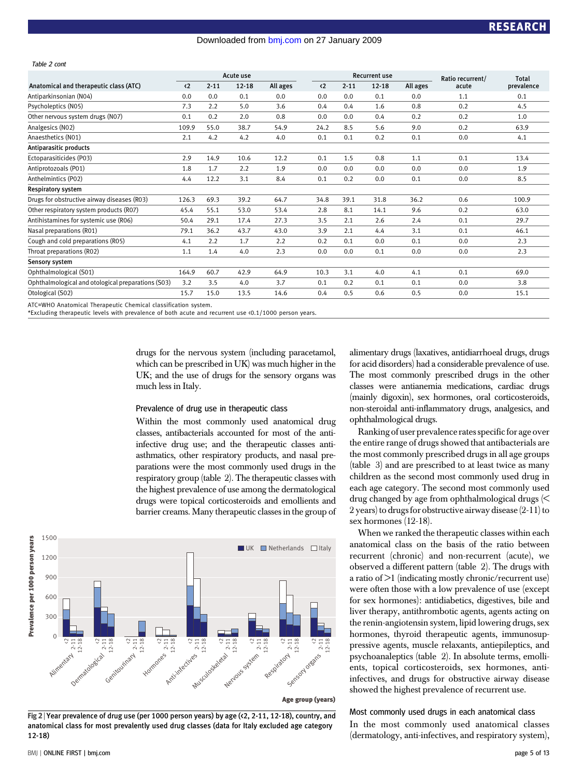Table 2 cont

|                                                    | Acute use           |          |           |          |             | <b>Recurrent use</b> |           | Ratio recurrent/ | Total |            |
|----------------------------------------------------|---------------------|----------|-----------|----------|-------------|----------------------|-----------|------------------|-------|------------|
| Anatomical and therapeutic class (ATC)             | $\langle 2 \rangle$ | $2 - 11$ | $12 - 18$ | All ages | $\langle$ 2 | $2 - 11$             | $12 - 18$ | All ages         | acute | prevalence |
| Antiparkinsonian (N04)                             | 0.0                 | 0.0      | 0.1       | 0.0      | 0.0         | 0.0                  | 0.1       | 0.0              | 1.1   | 0.1        |
| Psycholeptics (N05)                                | 7.3                 | 2.2      | 5.0       | 3.6      | 0.4         | 0.4                  | 1.6       | 0.8              | 0.2   | 4.5        |
| Other nervous system drugs (NO7)                   | 0.1                 | 0.2      | 2.0       | 0.8      | 0.0         | 0.0                  | 0.4       | 0.2              | 0.2   | 1.0        |
| Analgesics (NO2)                                   | 109.9               | 55.0     | 38.7      | 54.9     | 24.2        | 8.5                  | 5.6       | 9.0              | 0.2   | 63.9       |
| Anaesthetics (N01)                                 | 2.1                 | 4.2      | 4.2       | 4.0      | 0.1         | 0.1                  | 0.2       | 0.1              | 0.0   | 4.1        |
| Antiparasitic products                             |                     |          |           |          |             |                      |           |                  |       |            |
| Ectoparasiticides (P03)                            | 2.9                 | 14.9     | 10.6      | 12.2     | 0.1         | 1.5                  | 0.8       | 1.1              | 0.1   | 13.4       |
| Antiprotozoals (P01)                               | 1.8                 | 1.7      | 2.2       | 1.9      | 0.0         | 0.0                  | 0.0       | 0.0              | 0.0   | 1.9        |
| Anthelmintics (P02)                                | 4.4                 | 12.2     | 3.1       | 8.4      | 0.1         | 0.2                  | 0.0       | 0.1              | 0.0   | 8.5        |
| Respiratory system                                 |                     |          |           |          |             |                      |           |                  |       |            |
| Drugs for obstructive airway diseases (R03)        | 126.3               | 69.3     | 39.2      | 64.7     | 34.8        | 39.1                 | 31.8      | 36.2             | 0.6   | 100.9      |
| Other respiratory system products (R07)            | 45.4                | 55.1     | 53.0      | 53.4     | 2.8         | 8.1                  | 14.1      | 9.6              | 0.2   | 63.0       |
| Antihistamines for systemic use (R06)              | 50.4                | 29.1     | 17.4      | 27.3     | 3.5         | 2.1                  | 2.6       | 2.4              | 0.1   | 29.7       |
| Nasal preparations (R01)                           | 79.1                | 36.2     | 43.7      | 43.0     | 3.9         | 2.1                  | 4.4       | 3.1              | 0.1   | 46.1       |
| Cough and cold preparations (R05)                  | 4.1                 | 2.2      | 1.7       | 2.2      | 0.2         | 0.1                  | 0.0       | 0.1              | 0.0   | 2.3        |
| Throat preparations (R02)                          | 1.1                 | 1.4      | 4.0       | 2.3      | 0.0         | 0.0                  | 0.1       | 0.0              | 0.0   | 2.3        |
| Sensory system                                     |                     |          |           |          |             |                      |           |                  |       |            |
| Ophthalmological (S01)                             | 164.9               | 60.7     | 42.9      | 64.9     | 10.3        | 3.1                  | 4.0       | 4.1              | 0.1   | 69.0       |
| Ophthalmological and otological preparations (S03) | 3.2                 | 3.5      | 4.0       | 3.7      | 0.1         | 0.2                  | 0.1       | 0.1              | 0.0   | 3.8        |
| Otological (S02)                                   | 15.7                | 15.0     | 13.5      | 14.6     | 0.4         | 0.5                  | 0.6       | 0.5              | 0.0   | 15.1       |
|                                                    |                     |          |           |          |             |                      |           |                  |       |            |

ATC=WHO Anatomical Therapeutic Chemical classification system.

\*Excluding therapeutic levels with prevalence of both acute and recurrent use <0.1/1000 person years.

drugs for the nervous system (including paracetamol, which can be prescribed in UK) was much higher in the UK; and the use of drugs for the sensory organs was much less in Italy.

#### Prevalence of drug use in therapeutic class

Within the most commonly used anatomical drug classes, antibacterials accounted for most of the antiinfective drug use; and the therapeutic classes antiasthmatics, other respiratory products, and nasal preparations were the most commonly used drugs in the respiratory group (table 2). The therapeutic classes with the highest prevalence of use among the dermatological drugs were topical corticosteroids and emollients and barrier creams. Many therapeutic classes in the group of



Fig 2 | Year prevalence of drug use (per 1000 person years) by age (<2, 2-11, 12-18), country, and anatomical class for most prevalently used drug classes (data for Italy excluded age category 12-18)

alimentary drugs (laxatives, antidiarrhoeal drugs, drugs for acid disorders) had a considerable prevalence of use. The most commonly prescribed drugs in the other classes were antianemia medications, cardiac drugs (mainly digoxin), sex hormones, oral corticosteroids, non-steroidal anti-inflammatory drugs, analgesics, and ophthalmological drugs.

Ranking of user prevalence rates specific for age over the entire range of drugs showed that antibacterials are the most commonly prescribed drugs in all age groups (table 3) and are prescribed to at least twice as many children as the second most commonly used drug in each age category. The second most commonly used drug changed by age from ophthalmological drugs (<  $2$  years) to drugs for obstructive airway disease  $(2-11)$  to sex hormones (12-18).

When we ranked the therapeutic classes within each anatomical class on the basis of the ratio between recurrent (chronic) and non-recurrent (acute), we observed a different pattern (table 2). The drugs with a ratio of >1 (indicating mostly chronic/recurrent use) were often those with a low prevalence of use (except for sex hormones): antidiabetics, digestives, bile and liver therapy, antithrombotic agents, agents acting on the renin-angiotensin system, lipid lowering drugs, sex hormones, thyroid therapeutic agents, immunosuppressive agents, muscle relaxants, antiepileptics, and psychoanaleptics (table 2). In absolute terms, emollients, topical corticosteroids, sex hormones, antiinfectives, and drugs for obstructive airway disease showed the highest prevalence of recurrent use.

Most commonly used drugs in each anatomical class In the most commonly used anatomical classes (dermatology, anti-infectives, and respiratory system),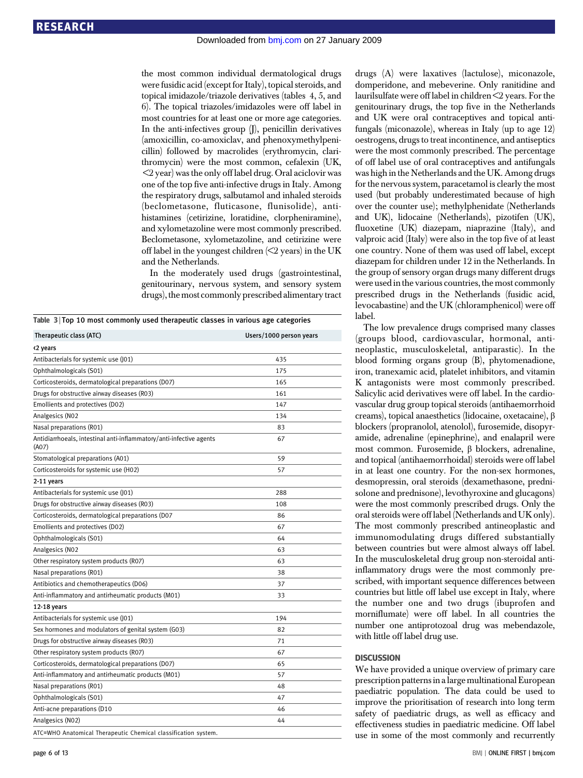the most common individual dermatological drugs were fusidic acid (except for Italy), topical steroids, and topical imidazole/triazole derivatives (tables 4, 5, and 6). The topical triazoles/imidazoles were off label in most countries for at least one or more age categories. In the anti-infectives group (J), penicillin derivatives (amoxicillin, co-amoxiclav, and phenoxymethylpenicillin) followed by macrolides (erythromycin, clarithromycin) were the most common, cefalexin (UK, <2 year) was the only off label drug. Oral aciclovir was one of the top five anti-infective drugs in Italy. Among the respiratory drugs, salbutamol and inhaled steroids (beclometasone, fluticasone, flunisolide), antihistamines (cetirizine, loratidine, clorpheniramine), and xylometazoline were most commonly prescribed. Beclometasone, xylometazoline, and cetirizine were off label in the youngest children  $\leq$  years) in the UK and the Netherlands.

In the moderately used drugs (gastrointestinal, genitourinary, nervous system, and sensory system drugs), the most commonly prescribed alimentary tract

Table 3 | Top 10 most commonly used therapeutic classes in various age categories

| Therapeutic class (ATC)                                                      | Users/1000 person years |
|------------------------------------------------------------------------------|-------------------------|
| <2 years                                                                     |                         |
| Antibacterials for systemic use (J01)                                        | 435                     |
| Ophthalmologicals (S01)                                                      | 175                     |
| Corticosteroids, dermatological preparations (D07)                           | 165                     |
| Drugs for obstructive airway diseases (R03)                                  | 161                     |
| Emollients and protectives (D02)                                             | 147                     |
| <b>Analgesics (NO2</b>                                                       | 134                     |
| Nasal preparations (R01)                                                     | 83                      |
| Antidiarrhoeals, intestinal anti-inflammatory/anti-infective agents<br>(A07) | 67                      |
| Stomatological preparations (A01)                                            | 59                      |
| Corticosteroids for systemic use (H02)                                       | 57                      |
| 2-11 years                                                                   |                         |
| Antibacterials for systemic use (J01)                                        | 288                     |
| Drugs for obstructive airway diseases (R03)                                  | 108                     |
| Corticosteroids, dermatological preparations (D07                            | 86                      |
| Emollients and protectives (D02)                                             | 67                      |
| Ophthalmologicals (S01)                                                      | 64                      |
| Analgesics (NO2                                                              | 63                      |
| Other respiratory system products (R07)                                      | 63                      |
| Nasal preparations (R01)                                                     | 38                      |
| Antibiotics and chemotherapeutics (D06)                                      | 37                      |
| Anti-inflammatory and antirheumatic products (M01)                           | 33                      |
| 12-18 years                                                                  |                         |
| Antibacterials for systemic use (J01)                                        | 194                     |
| Sex hormones and modulators of genital system (G03)                          | 82                      |
| Drugs for obstructive airway diseases (R03)                                  | 71                      |
| Other respiratory system products (R07)                                      | 67                      |
| Corticosteroids, dermatological preparations (D07)                           | 65                      |
| Anti-inflammatory and antirheumatic products (M01)                           | 57                      |
| Nasal preparations (R01)                                                     | 48                      |
| Ophthalmologicals (S01)                                                      | 47                      |
| Anti-acne preparations (D10                                                  | 46                      |
| Analgesics (NO2)                                                             | 44                      |
| ATC=WHO Anatomical Therapeutic Chemical classification system.               |                         |

drugs (A) were laxatives (lactulose), miconazole, domperidone, and mebeverine. Only ranitidine and laurilsulfate were off label in children <2 years. For the genitourinary drugs, the top five in the Netherlands and UK were oral contraceptives and topical antifungals (miconazole), whereas in Italy (up to age 12) oestrogens, drugs to treat incontinence, and antiseptics were the most commonly prescribed. The percentage of off label use of oral contraceptives and antifungals was high in the Netherlands and the UK. Among drugs for the nervous system, paracetamol is clearly the most used (but probably underestimated because of high over the counter use); methylphenidate (Netherlands and UK), lidocaine (Netherlands), pizotifen (UK), fluoxetine (UK) diazepam, niaprazine (Italy), and valproic acid (Italy) were also in the top five of at least one country. None of them was used off label, except diazepam for children under 12 in the Netherlands. In the group of sensory organ drugs many different drugs were used in the various countries, the most commonly prescribed drugs in the Netherlands (fusidic acid, levocabastine) and the UK (chloramphenicol) were off label.

The low prevalence drugs comprised many classes (groups blood, cardiovascular, hormonal, antineoplastic, musculoskeletal, antiparastic). In the blood forming organs group (B), phytomenadione, iron, tranexamic acid, platelet inhibitors, and vitamin K antagonists were most commonly prescribed. Salicylic acid derivatives were off label. In the cardiovascular drug group topical steroids (antihaemorrhoid creams), topical anaesthetics (lidocaine, oxetacaine), β blockers (propranolol, atenolol), furosemide, disopyramide, adrenaline (epinephrine), and enalapril were most common. Furosemide, β blockers, adrenaline, and topical (antihaemorrhoidal) steroids were off label in at least one country. For the non-sex hormones, desmopressin, oral steroids (dexamethasone, prednisolone and prednisone), levothyroxine and glucagons) were the most commonly prescribed drugs. Only the oral steroids were off label (Netherlands and UK only). The most commonly prescribed antineoplastic and immunomodulating drugs differed substantially between countries but were almost always off label. In the musculoskeletal drug group non-steroidal antiinflammatory drugs were the most commonly prescribed, with important sequence differences between countries but little off label use except in Italy, where the number one and two drugs (ibuprofen and morniflumate) were off label. In all countries the number one antiprotozoal drug was mebendazole, with little off label drug use.

We have provided a unique overview of primary care prescription patterns in a large multinational European paediatric population. The data could be used to improve the prioritisation of research into long term safety of paediatric drugs, as well as efficacy and effectiveness studies in paediatric medicine. Off label use in some of the most commonly and recurrently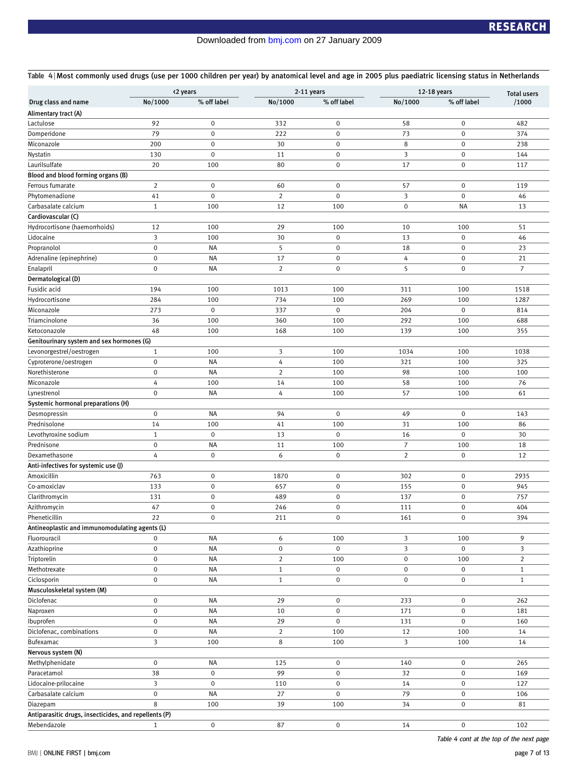| Table 4   Most commonly used drugs (use per 1000 children per year) by anatomical level and age in 2005 plus paediatric licensing status in Netherlands |                |                         |                |                           |                |                            |                    |
|---------------------------------------------------------------------------------------------------------------------------------------------------------|----------------|-------------------------|----------------|---------------------------|----------------|----------------------------|--------------------|
|                                                                                                                                                         |                | <2 years<br>% off label | No/1000        | 2-11 years<br>% off label |                | 12-18 years<br>% off label | <b>Total users</b> |
| Drug class and name                                                                                                                                     | No/1000        |                         |                |                           | No/1000        |                            | /1000              |
| Alimentary tract (A)                                                                                                                                    |                |                         |                |                           |                |                            |                    |
| Lactulose                                                                                                                                               | 92             | $\pmb{0}$               | 332            | $\mathbf 0$               | 58             | $\mathbf 0$                | 482                |
| Domperidone                                                                                                                                             | 79             | $\bf 0$                 | 222            | $\boldsymbol{0}$          | 73             | $\pmb{0}$                  | 374                |
| Miconazole                                                                                                                                              | 200            | $\pmb{0}$               | 30             | $\mathbf 0$               | 8              | $\mathbf 0$                | 238                |
| Nystatin                                                                                                                                                | 130            | $\mathbf 0$             | 11             | $\mathbf 0$               | 3              | $\,0\,$                    | 144                |
| Laurilsulfate                                                                                                                                           | 20             | 100                     | 80             | $\pmb{0}$                 | 17             | $\,0\,$                    | 117                |
| Blood and blood forming organs (B)                                                                                                                      |                |                         |                |                           |                |                            |                    |
| Ferrous fumarate                                                                                                                                        | $\overline{2}$ | $\bf 0$                 | 60             | $\mathbf 0$               | 57             | $\mathbf 0$                | 119                |
| Phytomenadione                                                                                                                                          | 41             | $\pmb{0}$               | $\overline{2}$ | $\boldsymbol{0}$          | 3              | $\mathbf 0$                | 46                 |
| Carbasalate calcium                                                                                                                                     | $\mathbf{1}$   | 100                     | 12             | 100                       | $\pmb{0}$      | NA                         | 13                 |
| Cardiovascular (C)                                                                                                                                      |                |                         |                |                           |                |                            |                    |
| Hydrocortisone (haemorrhoids)                                                                                                                           | 12             | 100                     | 29             | 100                       | 10             | 100                        | 51                 |
| Lidocaine                                                                                                                                               | 3              | 100                     | 30             | $\pmb{0}$                 | 13             | $\mathbf 0$                | 46                 |
| Propranolol                                                                                                                                             | $\mathbf 0$    | <b>NA</b>               | 5              | $\mathbf 0$               | 18             | $\mathbf 0$                | 23                 |
| Adrenaline (epinephrine)                                                                                                                                | $\mathbf 0$    | NA                      | 17             | $\mathbf 0$               | $\sqrt{4}$     | $\mathsf 0$                | 21                 |
| Enalapril                                                                                                                                               | 0              | NA                      | $\overline{2}$ | $\pmb{0}$                 | 5              | $\pmb{0}$                  | $\overline{7}$     |
| Dermatological (D)                                                                                                                                      |                |                         |                |                           |                |                            |                    |
| Fusidic acid                                                                                                                                            | 194            | 100                     | 1013           | 100                       | 311            | 100                        | 1518               |
| Hydrocortisone                                                                                                                                          | 284            | 100                     | 734            | 100                       | 269            | 100                        | 1287               |
| Miconazole                                                                                                                                              | 273            | $\mathbf 0$             | 337            | $\pmb{0}$                 | 204            | $\mathbf 0$                | 814                |
| Triamcinolone                                                                                                                                           | 36             | 100                     | 360            | 100                       | 292            | 100                        | 688                |
| Ketoconazole                                                                                                                                            | 48             | 100                     | 168            | 100                       | 139            | 100                        | 355                |
| Genitourinary system and sex hormones (G)                                                                                                               |                |                         |                |                           |                |                            |                    |
| Levonorgestrel/oestrogen                                                                                                                                | $\mathbf{1}$   | 100                     | 3              | 100                       | 1034           | 100                        | 1038               |
| Cyproterone/oestrogen                                                                                                                                   | $\mathbf 0$    | <b>NA</b>               | 4              | 100                       | 321            | 100                        | 325                |
| Norethisterone                                                                                                                                          | 0              | NA                      | $\overline{2}$ | 100                       | 98             | 100                        | 100                |
| Miconazole                                                                                                                                              | 4              | 100                     | 14             | 100                       | 58             | 100                        | 76                 |
| Lynestrenol                                                                                                                                             | 0              | NA                      | 4              | 100                       | 57             | 100                        | 61                 |
| Systemic hormonal preparations (H)                                                                                                                      |                |                         |                |                           |                |                            |                    |
| Desmopressin                                                                                                                                            | 0              | <b>NA</b>               | 94             | $\mathbf 0$               | 49             | $\mathbf 0$                | 143                |
| Prednisolone                                                                                                                                            | 14             | 100                     | 41             | 100                       | 31             | 100                        | 86                 |
| Levothyroxine sodium                                                                                                                                    | $\mathbf{1}$   | $\pmb{0}$               | 13             | $\mathbf 0$               | 16             | $\mathbf 0$                | 30                 |
| Prednisone                                                                                                                                              | $\mathbf 0$    | NA                      | 11             | 100                       | $\overline{7}$ | 100                        | 18                 |
| Dexamethasone                                                                                                                                           | 4              | 0                       | 6              | $\mathbf 0$               | $\overline{2}$ | $\mathbf 0$                | 12                 |
| Anti-infectives for systemic use (J)                                                                                                                    |                |                         |                |                           |                |                            |                    |
| Amoxicillin                                                                                                                                             | 763            | $\mathbf 0$             | 1870           | $\mathbf 0$               | 302            | $\mathbf 0$                | 2935               |
| Co-amoxiclav                                                                                                                                            | 133            | $\mathbf 0$             | 657            | $\pmb{0}$                 | 155            | $\pmb{0}$                  | 945                |
| Clarithromycin                                                                                                                                          | 131            | $\pmb{0}$               | 489            | $\pmb{0}$                 | 137            | 0                          | 757                |
| Azithromycin                                                                                                                                            | 47             | $\mathbf 0$             | 246            | $\mathbf 0$               | 111            | $\mathbf{0}$               | 404                |
| Pheneticillin                                                                                                                                           | 22             | $\mathsf 0$             | 211            | $\mathbf 0$               | 161            | $\mathbf 0$                | 394                |
| Antineoplastic and immunomodulating agents (L)                                                                                                          |                |                         |                |                           |                |                            |                    |
| Fluorouracil                                                                                                                                            | 0              | <b>NA</b>               | 6              | 100                       | $\mathbf{3}$   | 100                        | 9                  |
| Azathioprine                                                                                                                                            | $\pmb{0}$      | <b>NA</b>               | $\pmb{0}$      | $\pmb{0}$                 | $\overline{3}$ | $\,0\,$                    | 3                  |
| Triptorelin                                                                                                                                             | $\mathbf 0$    | <b>NA</b>               | $\overline{2}$ | 100                       | $\pmb{0}$      | 100                        | $\overline{2}$     |
| Methotrexate                                                                                                                                            | 0              | <b>NA</b>               | $1\,$          | $\mathbf 0$               | $\pmb{0}$      | $\mathbf 0$                | $\mathbf{1}$       |
| Ciclosporin                                                                                                                                             | $\pmb{0}$      | NA                      | $\mathbf{1}$   | $\mathbf 0$               | $\pmb{0}$      | $\mathsf 0$                | $\mathbf{1}$       |
| Musculoskeletal system (M)                                                                                                                              |                |                         |                |                           |                |                            |                    |
| Diclofenac                                                                                                                                              | $\mathbf 0$    | <b>NA</b>               | 29             | $\pmb{0}$                 | 233            | $\,0\,$                    | 262                |
| Naproxen                                                                                                                                                | 0              | <b>NA</b>               | 10             | $\pmb{0}$                 | 171            | $\mathsf 0$                | 181                |
| Ibuprofen                                                                                                                                               | $\pmb{0}$      | <b>NA</b>               | 29             | $\pmb{0}$                 | 131            | $\pmb{0}$                  | 160                |
| Diclofenac, combinations                                                                                                                                | $\mathbf 0$    | <b>NA</b>               | $\overline{2}$ | 100                       | 12             | 100                        | 14                 |
| Bufexamac                                                                                                                                               | 3              | 100                     | 8              | 100                       | 3              | 100                        | 14                 |
| Nervous system (N)                                                                                                                                      |                |                         |                |                           |                |                            |                    |
| Methylphenidate                                                                                                                                         | $\mathbf 0$    | NA                      | 125            | $\mathbf 0$               | 140            | $\mathbf 0$                | 265                |
| Paracetamol                                                                                                                                             | 38             | 0                       | 99             | $\mathbf 0$               | 32             | $\mathbf 0$                | 169                |
| Lidocaine-prilocaine                                                                                                                                    | 3              | $\mathbf 0$             | 110            | $\mathbf 0$               | 14             | $\mathbf 0$                | 127                |
| Carbasalate calcium                                                                                                                                     | $\pmb{0}$      | <b>NA</b>               | 27             | $\pmb{0}$                 | 79             | $\mathbf 0$                | 106                |
| Diazepam                                                                                                                                                | 8              | 100                     | 39             | 100                       | 34             | $\mathsf 0$                | 81                 |
| Antiparasitic drugs, insecticides, and repellents (P)                                                                                                   |                |                         |                |                           |                |                            |                    |
| Mebendazole                                                                                                                                             | $\mathbf{1}$   | $\pmb{0}$               | 87             | $\mathbf 0$               | 14             | $\mathbf 0$                | 102                |

Table 4 cont at the top of the next page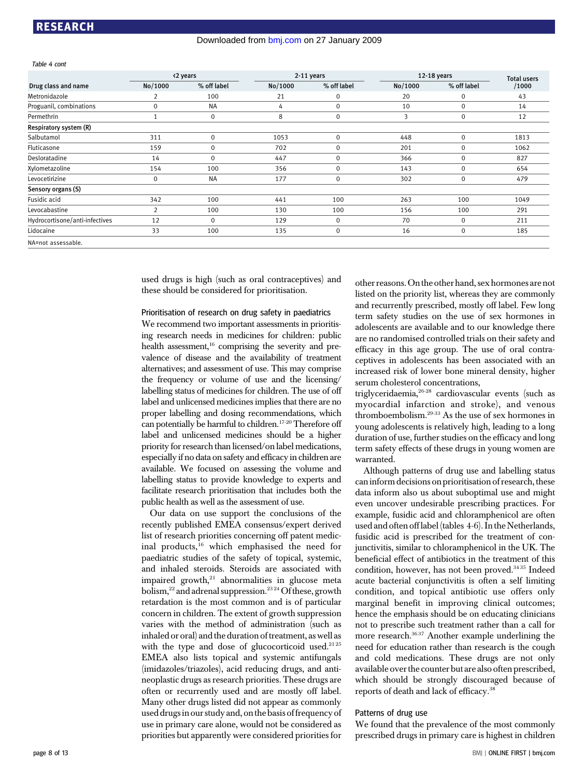$Table 4$  cont

|                                |                | <2 years    |         | 2-11 years  | 12-18 years | <b>Total users</b> |       |
|--------------------------------|----------------|-------------|---------|-------------|-------------|--------------------|-------|
| Drug class and name            | No/1000        | % off label | No/1000 | % off label | No/1000     | % off label        | /1000 |
| Metronidazole                  | 2              | 100         | 21      | 0           | 20          | $\mathbf 0$        | 43    |
| Proguanil, combinations        | $\mathbf 0$    | <b>NA</b>   | 4       | $\mathbf 0$ | 10          | $\mathbf 0$        | 14    |
| Permethrin                     | $\mathbf{1}$   | $\mathbf 0$ | 8       | 0           | 3           | $\mathbf 0$        | 12    |
| Respiratory system (R)         |                |             |         |             |             |                    |       |
| Salbutamol                     | 311            | $\mathbf 0$ | 1053    | $\pmb{0}$   | 448         | $\mathbf 0$        | 1813  |
| Fluticasone                    | 159            | $\mathbf 0$ | 702     | 0           | 201         | $\mathbf 0$        | 1062  |
| Desloratadine                  | 14             | $\mathbf 0$ | 447     | $\pmb{0}$   | 366         | $\mathbf 0$        | 827   |
| Xylometazoline                 | 154            | 100         | 356     | 0           | 143         | $\mathbf 0$        | 654   |
| Levocetirizine                 | $\mathbf 0$    | <b>NA</b>   | 177     | $\mathbf 0$ | 302         | $\mathbf 0$        | 479   |
| Sensory organs (S)             |                |             |         |             |             |                    |       |
| Fusidic acid                   | 342            | 100         | 441     | 100         | 263         | 100                | 1049  |
| Levocabastine                  | $\overline{2}$ | 100         | 130     | 100         | 156         | 100                | 291   |
| Hydrocortisone/anti-infectives | 12             | $\mathbf 0$ | 129     | 0           | 70          | $\mathbf 0$        | 211   |
| Lidocaine                      | 33             | 100         | 135     | $\pmb{0}$   | 16          | $\mathbf 0$        | 185   |
| NA=not assessable.             |                |             |         |             |             |                    |       |

used drugs is high (such as oral contraceptives) and these should be considered for prioritisation.

#### Prioritisation of research on drug safety in paediatrics

We recommend two important assessments in prioritising research needs in medicines for children: public health assessment,<sup>16</sup> comprising the severity and prevalence of disease and the availability of treatment alternatives; and assessment of use. This may comprise the frequency or volume of use and the licensing/ labelling status of medicines for children. The use of off label and unlicensed medicines implies that there are no proper labelling and dosing recommendations, which can potentially be harmful to children.17-20 Therefore off label and unlicensed medicines should be a higher priority for research than licensed/on label medications, especially if no data on safety and efficacy in children are available. We focused on assessing the volume and labelling status to provide knowledge to experts and facilitate research prioritisation that includes both the public health as well as the assessment of use.

Our data on use support the conclusions of the recently published EMEA consensus/expert derived list of research priorities concerning off patent medicinal products, $^{16}$  which emphasised the need for paediatric studies of the safety of topical, systemic, and inhaled steroids. Steroids are associated with impaired growth, $21$  abnormalities in glucose meta bolism,<sup>22</sup> and adrenal suppression.<sup>2324</sup> Of these, growth retardation is the most common and is of particular concern in children. The extent of growth suppression varies with the method of administration (such as inhaled or oral) and the duration of treatment, as well as with the type and dose of glucocorticoid used. $2125$ EMEA also lists topical and systemic antifungals (imidazoles/triazoles), acid reducing drugs, and antineoplastic drugs as research priorities. These drugs are often or recurrently used and are mostly off label. Many other drugs listed did not appear as commonly used drugs in our study and, on the basis of frequency of use in primary care alone, would not be considered as priorities but apparently were considered priorities for other reasons.Onthe other hand, sex hormones are not listed on the priority list, whereas they are commonly and recurrently prescribed, mostly off label. Few long term safety studies on the use of sex hormones in adolescents are available and to our knowledge there are no randomised controlled trials on their safety and efficacy in this age group. The use of oral contraceptives in adolescents has been associated with an increased risk of lower bone mineral density, higher serum cholesterol concentrations,

triglyceridaemia,<sup>26-28</sup> cardiovascular events (such as myocardial infarction and stroke), and venous thromboembolism.29-33 As the use of sex hormones in young adolescents is relatively high, leading to a long duration of use, further studies on the efficacy and long term safety effects of these drugs in young women are warranted.

Although patterns of drug use and labelling status can inform decisions on prioritisation of research, these data inform also us about suboptimal use and might even uncover undesirable prescribing practices. For example, fusidic acid and chloramphenicol are often used and often off label(tables 4-6). Inthe Netherlands, fusidic acid is prescribed for the treatment of conjunctivitis, similar to chloramphenicol in the UK. The beneficial effect of antibiotics in the treatment of this condition, however, has not been proved.<sup>34 35</sup> Indeed acute bacterial conjunctivitis is often a self limiting condition, and topical antibiotic use offers only marginal benefit in improving clinical outcomes; hence the emphasis should be on educating clinicians not to prescribe such treatment rather than a call for more research.36 37 Another example underlining the need for education rather than research is the cough and cold medications. These drugs are not only available overthe counter but are also often prescribed, which should be strongly discouraged because of reports of death and lack of efficacy.<sup>38</sup>

#### Patterns of drug use

We found that the prevalence of the most commonly prescribed drugs in primary care is highest in children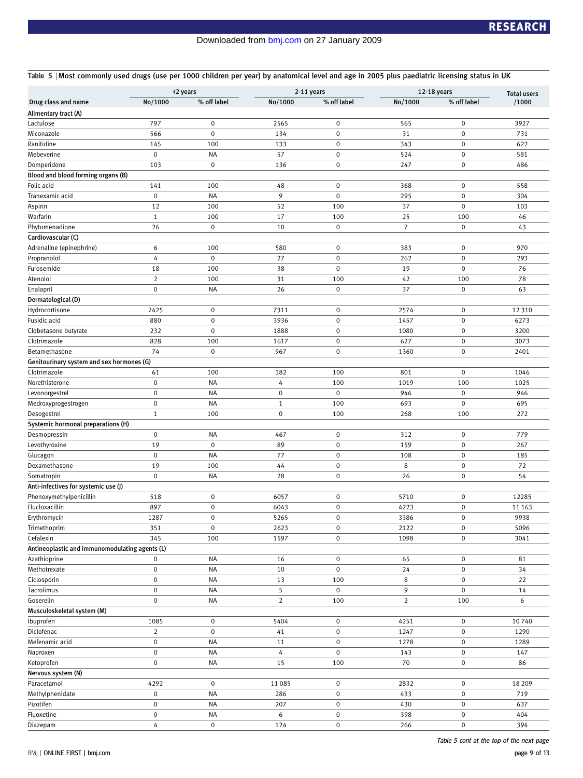| Table 5  Most commonly used drugs (use per 1000 children per year) by anatomical level and age in 2005 plus paediatric licensing status in UK |  |  |  |  |
|-----------------------------------------------------------------------------------------------------------------------------------------------|--|--|--|--|
|                                                                                                                                               |  |  |  |  |

|                                                |                | <2 years           |                  | 2-11 years  |                | 12-18 years              | <b>Total users</b> |
|------------------------------------------------|----------------|--------------------|------------------|-------------|----------------|--------------------------|--------------------|
| Drug class and name                            | No/1000        | % off label        | No/1000          | % off label | No/1000        | % off label              | /1000              |
| Alimentary tract (A)                           |                |                    |                  |             |                |                          |                    |
| Lactulose                                      | 797            | $\pmb{0}$          | 2565             | $\pmb{0}$   | 565            | $\pmb{0}$                | 3927               |
| Miconazole                                     | 566            | $\mathbf 0$        | 134              | $\pmb{0}$   | 31             | $\pmb{0}$                | 731                |
| Ranitidine                                     | 145            | 100                | 133              | $\mathbf 0$ | 343            | $\pmb{0}$                | 622                |
| Mebeverine                                     | $\pmb{0}$      | <b>NA</b>          | 57               | $\pmb{0}$   | 524            | $\pmb{0}$                | 581                |
| Domperidone                                    | 103            | $\mathbf 0$        | 136              | $\mathbf 0$ | 247            | $\mathbf 0$              | 486                |
| Blood and blood forming organs (B)             |                |                    |                  |             |                |                          |                    |
| Folic acid                                     | 141            | 100                | 48               | $\pmb{0}$   | 368            | $\pmb{0}$                | 558                |
| Tranexamic acid                                | $\pmb{0}$      | <b>NA</b>          | 9                | $\mathbf 0$ | 295            | $\mathbf 0$              | 304                |
| Aspirin                                        | 12             | 100                | 52               | 100         | 37             | $\mathsf 0$              | 103                |
| Warfarin                                       | $1\,$          | 100                | 17               | 100         | 25             | 100                      | 46                 |
| Phytomenadione                                 | 26             | $\mathbf 0$        | 10               | $\pmb{0}$   | $\overline{7}$ | $\mathbf 0$              | 43                 |
| Cardiovascular (C)                             |                |                    |                  |             |                |                          |                    |
| Adrenaline (epinephrine)                       | 6              | 100                | 580              | $\mathbf 0$ | 383            | 0                        | 970                |
| Propranolol                                    | 4              | $\mathbf 0$        | 27               | $\mathbf 0$ | 262            | $\mathbf 0$              | 293                |
| Furosemide                                     | 18             | 100                | 38               | $\pmb{0}$   | 19             | $\mathbf 0$              | 76                 |
| Atenolol                                       | $\overline{2}$ | 100                | 31               | 100         | 42             | 100                      | 78                 |
| Enalapril                                      | $\pmb{0}$      | <b>NA</b>          | 26               | $\mathbf 0$ | 37             | $\mathbf 0$              | 63                 |
| Dermatological (D)                             |                |                    |                  |             |                |                          |                    |
| Hydrocortisone                                 | 2425           | $\mathbf 0$        | 7311             | $\pmb{0}$   | 2574           | $\mathsf 0$              | 12 3 10            |
| Fusidic acid                                   | 880            | $\mathbf 0$        | 3936             | $\pmb{0}$   | 1457           | $\bf 0$                  | 6273               |
| Clobetasone butyrate                           | 232            | $\mathbf 0$        | 1888             | $\pmb{0}$   | 1080           | $\pmb{0}$                | 3200               |
| Clotrimazole                                   |                |                    |                  |             |                |                          |                    |
|                                                | 828            | 100<br>$\mathbf 0$ | 1617             | $\pmb{0}$   | 627            | $\mathbf 0$<br>$\pmb{0}$ | 3073               |
| Betamethasone                                  | 74             |                    | 967              | $\pmb{0}$   | 1360           |                          | 2401               |
| Genitourinary system and sex hormones (G)      |                |                    |                  |             |                |                          |                    |
| Clotrimazole                                   | 61             | 100                | 182              | 100         | 801            | $\mathsf 0$              | 1046               |
| Norethisterone                                 | $\pmb{0}$      | <b>NA</b>          | $\overline{4}$   | 100         | 1019           | 100                      | 1025               |
| Levonorgestrel                                 | $\pmb{0}$      | <b>NA</b>          | $\mathbf 0$      | $\pmb{0}$   | 946            | $\mathsf 0$              | 946                |
| Medroxyprogestrogen                            | 0              | <b>NA</b>          | $\mathbf{1}$     | 100         | 693            | $\pmb{0}$                | 695                |
| Desogestrel                                    | $1\,$          | 100                | $\mathbf 0$      | 100         | 268            | 100                      | 272                |
| Systemic hormonal preparations (H)             |                |                    |                  |             |                |                          |                    |
| Desmopressin                                   | $\mathbf 0$    | <b>NA</b>          | 467              | $\pmb{0}$   | 312            | $\mathbf 0$              | 779                |
| Levothyroxine                                  | 19             | $\mathbf 0$        | 89               | $\mathbf 0$ | 159            | $\mathbf 0$              | 267                |
| Glucagon                                       | $\mathbf 0$    | <b>NA</b>          | 77               | $\mathbf 0$ | 108            | $\mathbf 0$              | 185                |
| Dexamethasone                                  | 19             | 100                | 44               | $\pmb{0}$   | 8              | $\mathbf 0$              | 72                 |
| Somatropin                                     | $\mathbf{0}$   | <b>NA</b>          | 28               | $\pmb{0}$   | 26             | $\pmb{0}$                | 54                 |
| Anti-infectives for systemic use (J)           |                |                    |                  |             |                |                          |                    |
| Phenoxymethylpenicillin                        | 518            | $\boldsymbol{0}$   | 6057             | $\pmb{0}$   | 5710           | $\pmb{0}$                | 12285              |
| Flucloxacillin                                 | 897            | $\pmb{0}$          | 6043             | $\pmb{0}$   | 4223           | $\pmb{0}$                | 11 1 63            |
| Erythromycin                                   | 1287           | $\mathbf 0$        | 5265             | $\pmb{0}$   | 3386           | $\mathbf 0$              | 9938               |
| Trimethoprim                                   | 351            | $\boldsymbol{0}$   | 2623             | $\pmb{0}$   | 2122           | 0                        | 5096               |
| Cefalexin                                      | 345            | 100                | 1597             | $\pmb{0}$   | 1098           | $\mathbf 0$              | 3041               |
| Antineoplastic and immunomodulating agents (L) |                |                    |                  |             |                |                          |                    |
| Azathioprine                                   | $\pmb{0}$      | <b>NA</b>          | 16               | $\pmb{0}$   | 65             | $\pmb{0}$                | 81                 |
| Methotrexate                                   | $\pmb{0}$      | <b>NA</b>          | 10               | $\pmb{0}$   | 24             | $\pmb{0}$                | 34                 |
| Ciclosporin                                    | 0              | <b>NA</b>          | 13               | 100         | 8              | 0                        | 22                 |
| Tacrolimus                                     | $\pmb{0}$      | <b>NA</b>          | 5                | $\pmb{0}$   | 9              | $\pmb{0}$                | 14                 |
| Goserelin                                      | 0              | <b>NA</b>          | $\overline{2}$   | 100         | $\overline{2}$ | 100                      | 6                  |
| Musculoskeletal system (M)                     |                |                    |                  |             |                |                          |                    |
| Ibuprofen                                      | 1085           | $\,0\,$            | 5404             | $\,0\,$     | 4251           | $\mathbf 0$              | 10740              |
| Diclofenac                                     | $\overline{2}$ | $\boldsymbol{0}$   | 41               | $\pmb{0}$   | 1247           | $\mathsf 0$              | 1290               |
| Mefenamic acid                                 | $\mathbf 0$    | <b>NA</b>          | 11               | $\,0\,$     | 1278           | $\,0\,$                  | 1289               |
| Naproxen                                       | $\pmb{0}$      | <b>NA</b>          | 4                | $\pmb{0}$   | 143            | $\pmb{0}$                | 147                |
| Ketoprofen                                     | 0              | <b>NA</b>          | 15               | 100         | 70             | $\pmb{0}$                | 86                 |
| Nervous system (N)                             |                |                    |                  |             |                |                          |                    |
| Paracetamol                                    | 4292           | $\pmb{0}$          | 11085            | $\mathbf 0$ | 2832           | $\,0\,$                  | 18 209             |
| Methylphenidate                                | $\pmb{0}$      | <b>NA</b>          | 286              | $\pmb{0}$   | 433            | $\pmb{0}$                | 719                |
| Pizotifen                                      | $\mathbf 0$    | <b>NA</b>          | 207              | $\,0\,$     | 430            | $\mathsf 0$              | 637                |
| Fluoxetine                                     | $\pmb{0}$      | <b>NA</b>          | $\boldsymbol{6}$ | $\pmb{0}$   | 398            | $\pmb{0}$                | 404                |
| Diazepam                                       | 4              | $\pmb{0}$          | 124              | $\pmb{0}$   | 266            | $\pmb{0}$                | 394                |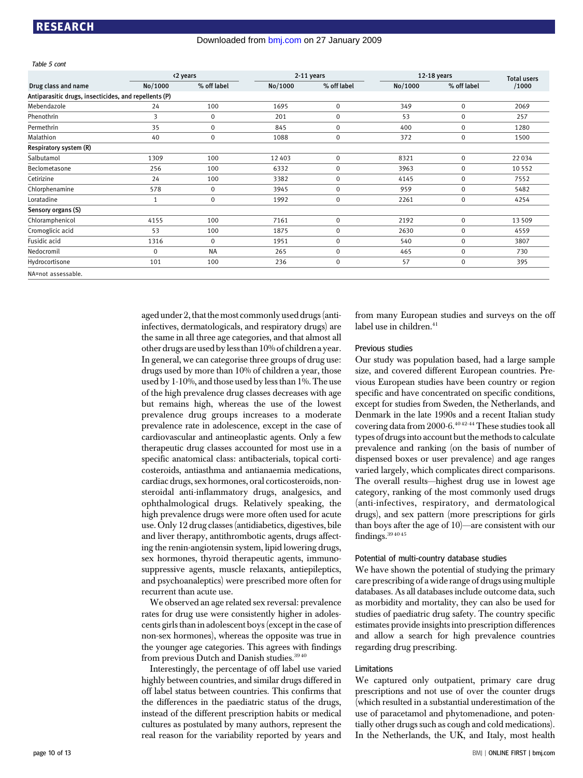#### Table 5 cont

|                                                       |              | <2 years    |          | 2-11 years   |         | 12-18 years  | <b>Total users</b> |
|-------------------------------------------------------|--------------|-------------|----------|--------------|---------|--------------|--------------------|
| Drug class and name                                   | No/1000      | % off label | No/1000  | % off label  | No/1000 | % off label  | /1000              |
| Antiparasitic drugs, insecticides, and repellents (P) |              |             |          |              |         |              |                    |
| Mebendazole                                           | 24           | 100         | 1695     | $\mathbf{0}$ | 349     | $\mathbf{0}$ | 2069               |
| Phenothrin                                            | 3            | $\mathbf 0$ | 201      | $\mathbf 0$  | 53      | $\mathbf 0$  | 257                |
| Permethrin                                            | 35           | $\mathbf 0$ | 845      | $\mathbf{0}$ | 400     | $\mathbf 0$  | 1280               |
| Malathion                                             | 40           | $\mathbf 0$ | 1088     | $\mathbf 0$  | 372     | $\mathbf 0$  | 1500               |
| Respiratory system (R)                                |              |             |          |              |         |              |                    |
| Salbutamol                                            | 1309         | 100         | 12 4 0 3 | $\mathbf{0}$ | 8321    | $\mathbf 0$  | 22 0 34            |
| Beclometasone                                         | 256          | 100         | 6332     | $\mathbf 0$  | 3963    | $\mathbf{0}$ | 10 5 5 2           |
| Cetirizine                                            | 24           | 100         | 3382     | $\mathbf 0$  | 4145    | $\mathbf 0$  | 7552               |
| Chlorphenamine                                        | 578          | 0           | 3945     | 0            | 959     | 0            | 5482               |
| Loratadine                                            | $\mathbf{1}$ | $\pmb{0}$   | 1992     | $\mathbf 0$  | 2261    | $\mathbf 0$  | 4254               |
| Sensory organs (S)                                    |              |             |          |              |         |              |                    |
| Chloramphenicol                                       | 4155         | 100         | 7161     | $\mathbf{0}$ | 2192    | $\mathbf{0}$ | 13 5 09            |
| Cromoglicic acid                                      | 53           | 100         | 1875     | $\mathbf 0$  | 2630    | $\mathbf 0$  | 4559               |
| Fusidic acid                                          | 1316         | $\mathbf 0$ | 1951     | $\mathbf 0$  | 540     | $\mathbf 0$  | 3807               |
| Nedocromil                                            | $\mathbf 0$  | <b>NA</b>   | 265      | $\mathbf{0}$ | 465     | $\mathbf{0}$ | 730                |
| Hydrocortisone                                        | 101          | 100         | 236      | 0            | 57      | $\mathbf 0$  | 395                |
| $M_A = n \times n \times n \times n$                  |              |             |          |              |         |              |                    |

NA=not assessable.

aged under 2, that the most commonly used drugs (antiinfectives, dermatologicals, and respiratory drugs) are the same in all three age categories, and that almost all other drugs are used by lessthan 10% of children a year. In general, we can categorise three groups of drug use: drugs used by more than 10% of children a year, those used by 1-10%, and those used by less than 1%. The use of the high prevalence drug classes decreases with age but remains high, whereas the use of the lowest prevalence drug groups increases to a moderate prevalence rate in adolescence, except in the case of cardiovascular and antineoplastic agents. Only a few therapeutic drug classes accounted for most use in a specific anatomical class: antibacterials, topical corticosteroids, antiasthma and antianaemia medications, cardiac drugs, sex hormones, oral corticosteroids, nonsteroidal anti-inflammatory drugs, analgesics, and ophthalmological drugs. Relatively speaking, the high prevalence drugs were more often used for acute use. Only 12 drug classes (antidiabetics, digestives, bile and liver therapy, antithrombotic agents, drugs affecting the renin-angiotensin system, lipid lowering drugs, sex hormones, thyroid therapeutic agents, immunosuppressive agents, muscle relaxants, antiepileptics, and psychoanaleptics) were prescribed more often for recurrent than acute use.

We observed an age related sex reversal: prevalence rates for drug use were consistently higher in adolescents girls than in adolescent boys (except in the case of non-sex hormones), whereas the opposite was true in the younger age categories. This agrees with findings from previous Dutch and Danish studies.<sup>3940</sup>

Interestingly, the percentage of off label use varied highly between countries, and similar drugs differed in off label status between countries. This confirms that the differences in the paediatric status of the drugs, instead of the different prescription habits or medical cultures as postulated by many authors, represent the real reason for the variability reported by years and from many European studies and surveys on the off label use in children.<sup>41</sup>

#### Previous studies

Our study was population based, had a large sample size, and covered different European countries. Previous European studies have been country or region specific and have concentrated on specific conditions, except for studies from Sweden, the Netherlands, and Denmark in the late 1990s and a recent Italian study covering data from 2000-6.40 42-44 These studies took all types of drugs into account but the methods to calculate prevalence and ranking (on the basis of number of dispensed boxes or user prevalence) and age ranges varied largely, which complicates direct comparisons. The overall results—highest drug use in lowest age category, ranking of the most commonly used drugs (anti-infectives, respiratory, and dermatological drugs), and sex pattern (more prescriptions for girls than boys after the age of 10)—are consistent with our findings.<sup>394045</sup>

#### Potential of multi-country database studies

We have shown the potential of studying the primary care prescribing of a wide range of drugs using multiple databases. As all databases include outcome data, such as morbidity and mortality, they can also be used for studies of paediatric drug safety. The country specific estimates provide insights into prescription differences and allow a search for high prevalence countries regarding drug prescribing.

#### Limitations

We captured only outpatient, primary care drug prescriptions and not use of over the counter drugs (which resulted in a substantial underestimation of the use of paracetamol and phytomenadione, and potentially other drugs such as cough and cold medications). In the Netherlands, the UK, and Italy, most health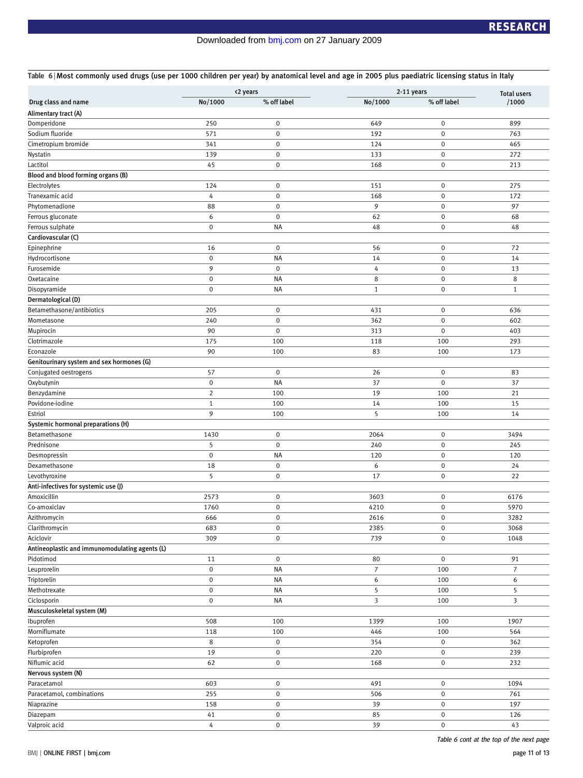| Table 6   Most commonly used drugs (use per 1000 children per year) by anatomical level and age in 2005 plus paediatric licensing status in Italy |
|---------------------------------------------------------------------------------------------------------------------------------------------------|
|---------------------------------------------------------------------------------------------------------------------------------------------------|

|                                                |                  | <2 years            | 2-11 years     |                  |                             |
|------------------------------------------------|------------------|---------------------|----------------|------------------|-----------------------------|
| Drug class and name                            | No/1000          | % off label         | No/1000        | % off label      | <b>Total users</b><br>/1000 |
| Alimentary tract (A)                           |                  |                     |                |                  |                             |
| Domperidone                                    | 250              | $\pmb{0}$           | 649            | $\pmb{0}$        | 899                         |
| Sodium fluoride                                | 571              | $\pmb{0}$           | 192            | $\boldsymbol{0}$ | 763                         |
| Cimetropium bromide                            | 341              | $\mathbf 0$         | 124            | $\mathbf 0$      | 465                         |
| Nystatin                                       | 139              | $\mathbf 0$         | 133            | $\mathbf 0$      | 272                         |
| Lactitol                                       | 45               | $\mathsf 0$         | 168            | $\mathbf 0$      | 213                         |
| Blood and blood forming organs (B)             |                  |                     |                |                  |                             |
| Electrolytes                                   | 124              | $\mathbf 0$         | 151            | $\mathbf 0$      | 275                         |
| Tranexamic acid                                | 4                | $\pmb{0}$           | 168            | $\boldsymbol{0}$ | 172                         |
| Phytomenadione                                 | 88               | $\pmb{0}$           | 9              | $\pmb{0}$        | 97                          |
| Ferrous gluconate                              | 6                | $\pmb{0}$           | 62             | $\boldsymbol{0}$ | 68                          |
| Ferrous sulphate                               | $\mathbf 0$      | <b>NA</b>           | 48             | $\pmb{0}$        | 48                          |
| Cardiovascular (C)                             |                  |                     |                |                  |                             |
| Epinephrine                                    | 16               | $\mathbf 0$         | 56             | $\pmb{0}$        | 72                          |
| Hydrocortisone                                 | $\pmb{0}$        | <b>NA</b>           | 14             | $\pmb{0}$        | 14                          |
| Furosemide                                     | 9                | $\pmb{0}$           | 4              | $\pmb{0}$        | 13                          |
| Oxetacaine                                     | $\mathbf 0$      | <b>NA</b>           | 8              | $\mathbf 0$      | 8                           |
| Disopyramide                                   | $\mathbf 0$      | <b>NA</b>           | $\mathbf{1}$   | $\mathbf 0$      | $\mathbf{1}$                |
|                                                |                  |                     |                |                  |                             |
| Dermatological (D)                             | 205              | $\mathbf 0$         |                | $\mathbf 0$      |                             |
| Betamethasone/antibiotics<br>Mometasone        | 240              | $\mathsf 0$         | 431<br>362     | $\mathbf 0$      | 636<br>602                  |
|                                                |                  |                     |                |                  |                             |
| Mupirocin                                      | 90               | $\mathbf 0$         | 313            | $\pmb{0}$        | 403                         |
| Clotrimazole                                   | 175              | 100                 | 118            | 100              | 293                         |
| Econazole                                      | 90               | 100                 | 83             | 100              | 173                         |
| Genitourinary system and sex hormones (G)      |                  |                     |                |                  |                             |
| Conjugated oestrogens                          | 57               | $\mathbf 0$         | 26             | $\pmb{0}$        | 83                          |
| Oxybutynin                                     | $\boldsymbol{0}$ | <b>NA</b>           | 37             | $\mathsf 0$      | 37                          |
| Benzydamine                                    | $\overline{2}$   | 100                 | 19             | 100              | 21                          |
| Povidone-iodine                                | $1\,$            | 100                 | 14             | 100              | 15                          |
| Estriol                                        | 9                | 100                 | 5              | 100              | 14                          |
| Systemic hormonal preparations (H)             |                  |                     |                |                  |                             |
| Betamethasone                                  | 1430             | 0                   | 2064           | $\mathbf 0$      | 3494                        |
| Prednisone                                     | 5                | $\pmb{0}$           | 240            | $\pmb{0}$        | 245                         |
| Desmopressin                                   | $\pmb{0}$        | <b>NA</b>           | 120            | $\pmb{0}$        | 120                         |
| Dexamethasone                                  | 18               | $\mathbf 0$         | 6              | $\pmb{0}$        | 24                          |
| Levothyroxine                                  | 5                | $\mathbf 0$         | 17             | $\mathbf 0$      | 22                          |
| Anti-infectives for systemic use (J)           |                  |                     |                |                  |                             |
| Amoxicillin                                    | 2573             | $\mathbf 0$         | 3603           | $\mathbf 0$      | 6176                        |
| Co-amoxiclav                                   | 1760             | $\mathbf 0$         | 4210           | $\mathbf 0$      | 5970                        |
| Azithromycin                                   | 666              | 0                   | 2616           | $\mathbf 0$      | 3282                        |
| Clarithromycin                                 | 683              | $\mathsf{O}\xspace$ | 2385           | 0                | 3068                        |
| Aciclovir                                      | 309              | $\mathbf 0$         | 739            | $\mathsf 0$      | 1048                        |
| Antineoplastic and immunomodulating agents (L) |                  |                     |                |                  |                             |
| Pidotimod                                      | 11               | $\mathbf 0$         | 80             | $\mathbf 0$      | 91                          |
| Leuprorelin                                    | $\pmb{0}$        | <b>NA</b>           | $\overline{7}$ | 100              | $\overline{7}$              |
| Triptorelin                                    | $\boldsymbol{0}$ | <b>NA</b>           | 6              | 100              | $\boldsymbol{6}$            |
| Methotrexate                                   | $\boldsymbol{0}$ | <b>NA</b>           | 5              | 100              | 5                           |
| Ciclosporin                                    | $\boldsymbol{0}$ | <b>NA</b>           | 3              | 100              | $\mathbf{3}$                |
| Musculoskeletal system (M)                     |                  |                     |                |                  |                             |
| Ibuprofen                                      | 508              | 100                 | 1399           | 100              | 1907                        |
| Morniflumate                                   | 118              | 100                 | 446            | 100              | 564                         |
| Ketoprofen                                     | $\,8\,$          | $\mathsf{O}\xspace$ | 354            | $\pmb{0}$        | 362                         |
| Flurbiprofen                                   | 19               | $\mathsf 0$         | 220            | 0                | 239                         |
| Niflumic acid                                  | 62               | 0                   | 168            | $\pmb{0}$        | 232                         |
|                                                |                  |                     |                |                  |                             |
| Nervous system (N)                             |                  |                     |                |                  |                             |
| Paracetamol                                    | 603              | $\pmb{0}$           | 491            | $\pmb{0}$        | 1094                        |
| Paracetamol, combinations                      | 255              | $\pmb{0}$           | 506            | $\mathsf 0$      | 761                         |
| Niaprazine                                     | 158              | $\mathsf{O}\xspace$ | 39             | $\mathbf 0$      | 197                         |
| Diazepam                                       | $41\,$           | $\mathbf 0$         | 85             | $\mathsf 0$      | 126                         |
| Valproic acid                                  | 4                | $\mathbf 0$         | 39             | $\mathsf 0$      | 43                          |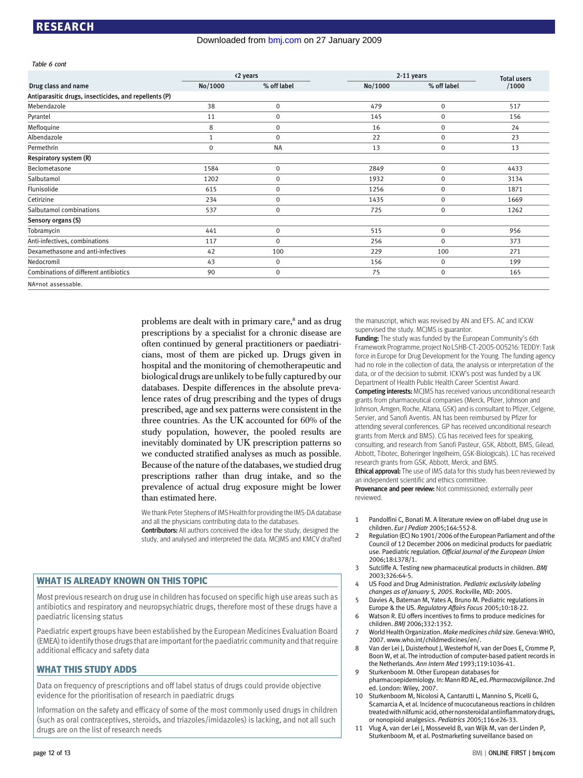Table 6 cont

| Drug class and name                                   | <2 years    |             | 2-11 years |              | <b>Total users</b> |
|-------------------------------------------------------|-------------|-------------|------------|--------------|--------------------|
|                                                       | No/1000     | % off label | No/1000    | % off label  | /1000              |
| Antiparasitic drugs, insecticides, and repellents (P) |             |             |            |              |                    |
| Mebendazole                                           | 38          | $\mathbf 0$ | 479        | 0            | 517                |
| Pyrantel                                              | 11          | $\mathbf 0$ | 145        | $\mathbf 0$  | 156                |
| Mefloquine                                            | 8           | $\mathbf 0$ | 16         | 0            | 24                 |
| Albendazole                                           | 1           | $\Omega$    | 22         | $\mathbf 0$  | 23                 |
| Permethrin                                            | $\mathbf 0$ | <b>NA</b>   | 13         | $\mathbf{0}$ | 13                 |
| Respiratory system (R)                                |             |             |            |              |                    |
| Beclometasone                                         | 1584        | $\mathbf 0$ | 2849       | $\mathbf 0$  | 4433               |
| Salbutamol                                            | 1202        | 0           | 1932       | $\mathbf 0$  | 3134               |
| Flunisolide                                           | 615         | $\mathbf 0$ | 1256       | $\mathbf{0}$ | 1871               |
| Cetirizine                                            | 234         | $\Omega$    | 1435       | $\mathbf 0$  | 1669               |
| Salbutamol combinations                               | 537         | $\mathbf 0$ | 725        | $\mathbf 0$  | 1262               |
| Sensory organs (S)                                    |             |             |            |              |                    |
| Tobramycin                                            | 441         | $\mathbf 0$ | 515        | $\mathbf 0$  | 956                |
| Anti-infectives, combinations                         | 117         | $\Omega$    | 256        | $\Omega$     | 373                |
| Dexamethasone and anti-infectives                     | 42          | 100         | 229        | 100          | 271                |
| Nedocromil                                            | 43          | $\mathbf 0$ | 156        | $\mathbf 0$  | 199                |
| Combinations of different antibiotics                 | 90          | $\mathbf 0$ | 75         | $\mathbf 0$  | 165                |
| NA=not assessable.                                    |             |             |            |              |                    |

problems are dealt with in primary care,<sup>8</sup> and as drug prescriptions by a specialist for a chronic disease are often continued by general practitioners or paediatricians, most of them are picked up. Drugs given in hospital and the monitoring of chemotherapeutic and biological drugs are unlikely to be fully captured by our databases. Despite differences in the absolute prevalence rates of drug prescribing and the types of drugs prescribed, age and sex patterns were consistent in the three countries. As the UK accounted for 60% of the study population, however, the pooled results are inevitably dominated by UK prescription patterns so we conducted stratified analyses as much as possible. Because of the nature of the databases, we studied drug prescriptions rather than drug intake, and so the prevalence of actual drug exposure might be lower than estimated here.

We thank Peter Stephens of IMS Health for providing the IMS-DA database and all the physicians contributing data to the databases.

Contributors: All authors conceived the idea for the study, designed the study, and analysed and interpreted the data. MCJMS and KMCV drafted

what previous research on drug use in children has focused on specific high use areas such as Most previous research on drug use in children has focused on specific high use areas such as antibiotics and respiratory and neuropsychiatric drugs, therefore most of these drugs have a paediatric licensing status

Paediatric expert groups have been established by the European Medicines Evaluation Board (EMEA) to identify those drugs that are important for the paediatric community and that require additional efficacy and safety data

WHAT THIS STUDY ADDS Data on frequency of prescriptions and off label status of drugs could provide objective evidence for the prioritisation of research in paediatric drugs

Information on the safety and efficacy of some of the most commonly used drugs in children (such as oral contraceptives, steroids, and triazoles/imidazoles) is lacking, and not all such drugs are on the list of research needs

the manuscript, which was revised by AN and EFS. AC and ICKW supervised the study. MCJMS is guarantor.

Funding: The study was funded by the European Community's 6th Framework Programme, project No LSHB-CT-2005-005216: TEDDY: Task force in Europe for Drug Development for the Young. The funding agency had no role in the collection of data, the analysis or interpretation of the data, or of the decision to submit. ICKW's post was funded by a UK Department of Health Public Health Career Scientist Award.

Competing interests: MCJMS has received various unconditional research grants from pharmaceutical companies (Merck, Pfizer, Johnson and Johnson, Amgen, Roche, Altana, GSK) and is consultant to Pfizer, Celgene, Servier, and Sanofi Aventis. AN has been reimbursed by Pfizer for attending several conferences. GP has received unconditional research grants from Merck and BMS). CG has received fees for speaking, consulting, and research from Sanofi Pasteur, GSK, Abbott, BMS, Gilead, Abbott, Tibotec, Boheringer Ingelheim, GSK-Biologicals). LC has received research grants from GSK, Abbott, Merck, and BMS.

Ethical approval: The use of IMS data for this study has been reviewed by an independent scientific and ethics committee.

Provenance and peer review: Not commissioned; externally peer reviewed.

- 1 Pandolfini C, Bonati M. A literature review on off-label drug use in children. Eur J Pediatr 2005;164:552-8.
- 2 Regulation (EC) No 1901/2006 of the European Parliament and of the Council of 12 December 2006 on medicinal products for paediatric use. Paediatric regulation. Official Journal of the European Union 2006;18:L378/1.
- 3 Sutcliffe A. Testing new pharmaceutical products in children. BMJ 2003;326:64-5.
- 4 US Food and Drug Administration. Pediatric exclusivity labeling changes as of January 5, 2005. Rockville, MD: 2005.
- 5 Davies A, Bateman M, Yates A, Bruno M. Pediatric regulations in Europe & the US. Regulatory Affairs Focus 2005;10:18-22.
- 6 Watson R. EU offers incentives to firms to produce medicines for children. BMJ 2006;332:1352.
- 7 World Health Organization. Make medicines child size. Geneva: WHO, 2007. www.who.int/childmedicines/en/.
- Van der Lei J, Duisterhout J, Westerhof H, van der Does E, Cromme P, Boon W, et al. The introduction of computer-based patient records in the Netherlands. Ann Intern Med 1993;119:1036-41.
- 9 Sturkenboom M. Other European databases for pharmacoepidemiology. In: Mann RD AE, ed. Pharmacovigilance. 2nd ed. London: Wiley, 2007.
- 10 Sturkenboom M, Nicolosi A, Cantarutti L, Mannino S, Picelli G, Scamarcia A, et al. Incidence of mucocutaneous reactions in children treatedwithnilfumic acid, other nonsteroidal antiinflammatorydrugs, or nonopioid analgesics. Pediatrics 2005;116:e26-33.
- 11 Vlug A, van der Lei J, Mosseveld B, van Wijk M, van der Linden P, Sturkenboom M, et al. Postmarketing surveillance based on